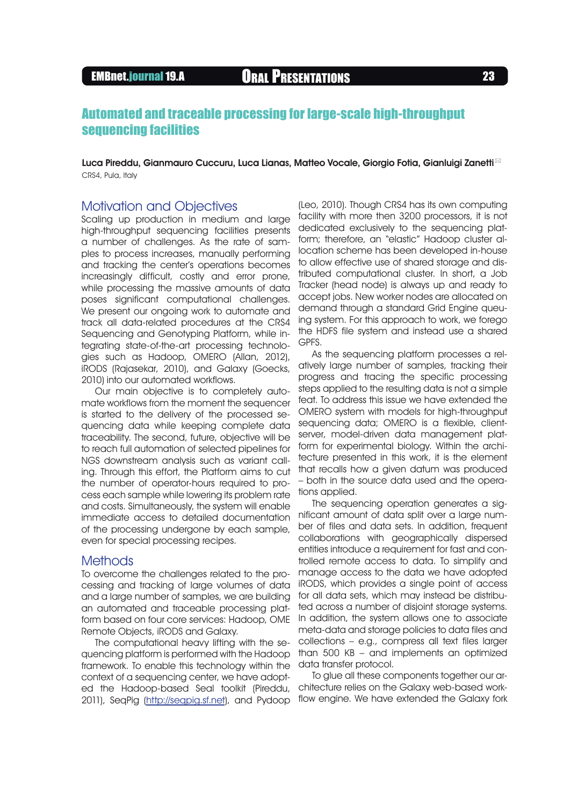# EMBnet.journal 19.A **ORAL PRESENTATIONS** 23

## Automated and traceable processing for large-scale high-throughput sequencing facilities

Luca Pireddu, Gianmauro Cuccuru, Luca Lianas, Matteo Vocale, Giorgio Fotia, Gianluigi Zanetti CRS4, Pula, Italy

## Motivation and Objectives

Scaling up production in medium and large high-throughput sequencing facilities presents a number of challenges. As the rate of samples to process increases, manually performing and tracking the center's operations becomes increasingly difficult, costly and error prone, while processing the massive amounts of data poses significant computational challenges. We present our ongoing work to automate and track all data-related procedures at the CRS4 Sequencing and Genotyping Platform, while integrating state-of-the-art processing technologies such as Hadoop, OMERO (Allan, 2012), iRODS (Rajasekar, 2010), and Galaxy (Goecks, 2010) into our automated workflows.

Our main objective is to completely automate workflows from the moment the sequencer is started to the delivery of the processed sequencing data while keeping complete data traceability. The second, future, objective will be to reach full automation of selected pipelines for NGS downstream analysis such as variant calling. Through this effort, the Platform aims to cut the number of operator-hours required to process each sample while lowering its problem rate and costs. Simultaneously, the system will enable immediate access to detailed documentation of the processing undergone by each sample, even for special processing recipes.

#### **Methods**

To overcome the challenges related to the processing and tracking of large volumes of data and a large number of samples, we are building an automated and traceable processing platform based on four core services: Hadoop, OME Remote Objects, iRODS and Galaxy.

The computational heavy lifting with the sequencing platform is performed with the Hadoop framework. To enable this technology within the context of a sequencing center, we have adopted the Hadoop-based Seal toolkit (Pireddu, 2011), SeqPig [\(http://seqpig.sf.net\)](http://seqpig.sf.net), and Pydoop flow engine. We have extended the Galaxy fork

(Leo, 2010). Though CRS4 has its own computing facility with more then 3200 processors, it is not dedicated exclusively to the sequencing platform; therefore, an "elastic" Hadoop cluster allocation scheme has been developed in-house to allow effective use of shared storage and distributed computational cluster. In short, a Job Tracker (head node) is always up and ready to accept jobs. New worker nodes are allocated on demand through a standard Grid Engine queuing system. For this approach to work, we forego the HDFS file system and instead use a shared GPFS.

As the sequencing platform processes a relatively large number of samples, tracking their progress and tracing the specific processing steps applied to the resulting data is not a simple feat. To address this issue we have extended the OMERO system with models for high-throughput sequencing data; OMERO is a flexible, clientserver, model-driven data management platform for experimental biology. Within the architecture presented in this work, it is the element that recalls how a given datum was produced – both in the source data used and the operations applied.

The sequencing operation generates a significant amount of data split over a large number of files and data sets. In addition, frequent collaborations with geographically dispersed entities introduce a requirement for fast and controlled remote access to data. To simplify and manage access to the data we have adopted iRODS, which provides a single point of access for all data sets, which may instead be distributed across a number of disjoint storage systems. In addition, the system allows one to associate meta-data and storage policies to data files and collections – e.g., compress all text files larger than 500 KB – and implements an optimized data transfer protocol.

To glue all these components together our architecture relies on the Galaxy web-based work